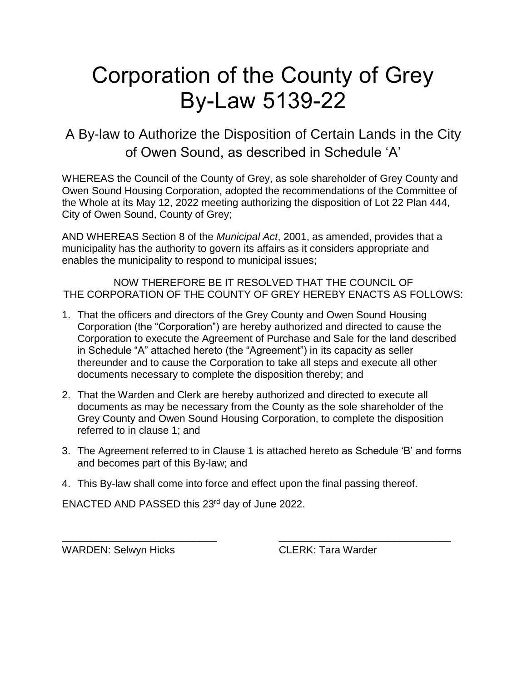## Corporation of the County of Grey By-Law 5139-22

A By-law to Authorize the Disposition of Certain Lands in the City of Owen Sound, as described in Schedule 'A'

WHEREAS the Council of the County of Grey, as sole shareholder of Grey County and Owen Sound Housing Corporation, adopted the recommendations of the Committee of the Whole at its May 12, 2022 meeting authorizing the disposition of Lot 22 Plan 444, City of Owen Sound, County of Grey;

AND WHEREAS Section 8 of the *Municipal Act*, 2001, as amended, provides that a municipality has the authority to govern its affairs as it considers appropriate and enables the municipality to respond to municipal issues;

NOW THEREFORE BE IT RESOLVED THAT THE COUNCIL OF THE CORPORATION OF THE COUNTY OF GREY HEREBY ENACTS AS FOLLOWS:

- 1. That the officers and directors of the Grey County and Owen Sound Housing Corporation (the "Corporation") are hereby authorized and directed to cause the Corporation to execute the Agreement of Purchase and Sale for the land described in Schedule "A" attached hereto (the "Agreement") in its capacity as seller thereunder and to cause the Corporation to take all steps and execute all other documents necessary to complete the disposition thereby; and
- 2. That the Warden and Clerk are hereby authorized and directed to execute all documents as may be necessary from the County as the sole shareholder of the Grey County and Owen Sound Housing Corporation, to complete the disposition referred to in clause 1; and
- 3. The Agreement referred to in Clause 1 is attached hereto as Schedule 'B' and forms and becomes part of this By-law; and

\_\_\_\_\_\_\_\_\_\_\_\_\_\_\_\_\_\_\_\_\_\_\_\_\_\_\_ \_\_\_\_\_\_\_\_\_\_\_\_\_\_\_\_\_\_\_\_\_\_\_\_\_\_\_\_\_\_

4. This By-law shall come into force and effect upon the final passing thereof.

ENACTED AND PASSED this 23rd day of June 2022.

WARDEN: Selwyn Hicks CLERK: Tara Warder